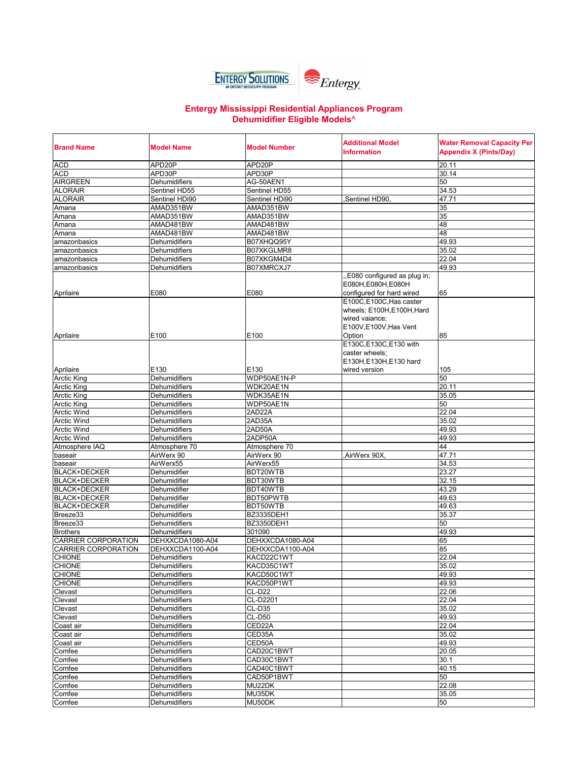

## **Entergy Mississippi Residential Appliances Program Dehumidifier Eligible Models**^

| <b>Brand Name</b>               | Model Name                            | <b>Model Number</b>  | <b>Additional Model</b><br>Information                                                                    | <b>Water Removal Capacity Per</b><br><b>Appendix X (Pints/Day)</b> |
|---------------------------------|---------------------------------------|----------------------|-----------------------------------------------------------------------------------------------------------|--------------------------------------------------------------------|
| <b>ACD</b>                      | APD20P                                | APD20P               |                                                                                                           | 20.11                                                              |
| <b>ACD</b>                      | APD30P                                | APD30P               |                                                                                                           | 30.14                                                              |
| <b>AIRGREEN</b>                 | Dehumidifiers                         | AG-50AEN1            |                                                                                                           | 50                                                                 |
| <b>ALORAIR</b>                  | Sentinel HD55                         | Sentinel HD55        |                                                                                                           | 34.53                                                              |
| <b>ALORAIR</b>                  | Sentinel HDi90                        | Sentinel HDi90       | Sentinel HD90                                                                                             | 47.71                                                              |
| Amana                           | AMAD351BW                             | AMAD351BW            |                                                                                                           | 35                                                                 |
| Amana                           | AMAD351BW                             | AMAD351BW            |                                                                                                           | 35                                                                 |
| Amana                           | AMAD481BW                             | AMAD481BW            |                                                                                                           | 48                                                                 |
| Amana                           | AMAD481BW                             | AMAD481BW            |                                                                                                           | 48                                                                 |
| amazonbasics                    | Dehumidifiers                         | B07XHQQ95Y           |                                                                                                           | 49.93                                                              |
| amazonbasics                    | <b>Dehumidifiers</b>                  | B07XKGLMR8           |                                                                                                           | 35.02                                                              |
| amazonbasics                    | Dehumidifiers                         | B07XKGM4D4           |                                                                                                           | 22.04                                                              |
| amazonbasics                    | Dehumidifiers                         | B07XMRCXJ7           |                                                                                                           | 49.93                                                              |
| Aprilaire                       | E080                                  | E080                 | "E080 configured as plug in;<br>E080H, E080H, E080H<br>configured for hard wired                          | 65                                                                 |
|                                 |                                       |                      | E100C,E100C,Has caster                                                                                    |                                                                    |
| Aprilaire                       | E100                                  | E100                 | wheels; E100H, E100H, Hard<br>wired vaiance;<br>E100V, E100V, Has Vent<br>Option<br>E130C,E130C,E130 with | 85                                                                 |
|                                 |                                       |                      | caster wheels:<br>E130H, E130H, E130 hard                                                                 |                                                                    |
| Aprilaire<br><b>Arctic King</b> | E130<br>Dehumidifiers                 | E130<br>WDP50AE1N-P  | wired version                                                                                             | 105<br>50                                                          |
| <b>Arctic King</b>              | Dehumidifiers                         | WDK20AE1N            |                                                                                                           | 20.11                                                              |
| <b>Arctic King</b>              | Dehumidifiers                         | WDK35AE1N            |                                                                                                           | 35.05                                                              |
| <b>Arctic King</b>              | Dehumidifiers                         | WDP50AE1N            |                                                                                                           | 50                                                                 |
| <b>Arctic Wind</b>              | Dehumidifiers                         | 2AD22A               |                                                                                                           | 22.04                                                              |
| <b>Arctic Wind</b>              | Dehumidifiers                         | 2AD35A               |                                                                                                           | 35.02                                                              |
| <b>Arctic Wind</b>              | <b>Dehumidifiers</b>                  | 2AD50A               |                                                                                                           | 49.93                                                              |
| <b>Arctic Wind</b>              | <b>Dehumidifiers</b>                  | 2ADP50A              |                                                                                                           | 49.93                                                              |
| Atmosphere IAQ                  | Atmosphere 70                         | Atmosphere 70        |                                                                                                           | 44                                                                 |
| baseair                         | AirWerx 90                            | AirWerx 90           | AirWerx 90X.                                                                                              | 47.71                                                              |
| baseair                         | AirWerx55                             | AirWerx55            |                                                                                                           | 34.53                                                              |
| <b>BLACK+DECKER</b>             | Dehumidifier                          | BDT20WTB             |                                                                                                           | 23.27                                                              |
| <b>BLACK+DECKER</b>             | Dehumidifier                          | BDT30WTB             |                                                                                                           | 32.15                                                              |
| <b>BLACK+DECKER</b>             | Dehumidifier                          | BDT40WTB             |                                                                                                           | 43.29                                                              |
| <b>BLACK+DECKER</b>             | Dehumidifier                          | BDT50PWTB            |                                                                                                           | 49.63                                                              |
| <b>BLACK+DECKER</b>             | Dehumidifier                          | BDT50WTB             |                                                                                                           | 49.63                                                              |
| Breeze33                        | Dehumidifiers                         | BZ3335DEH1           |                                                                                                           | 35.37                                                              |
| Breeze33                        | Dehumidifiers                         | BZ3350DEH1           |                                                                                                           | 50                                                                 |
| <b>Brothers</b>                 | Dehumidifiers                         | 301090               |                                                                                                           | 49.93                                                              |
| <b>CARRIER CORPORATION</b>      | DEHXXCDA1080-A04                      | DEHXXCDA1080-A04     |                                                                                                           | 65                                                                 |
| <b>CARRIER CORPORATION</b>      | DEHXXCDA1100-A04                      | DEHXXCDA1100-A04     |                                                                                                           | 85                                                                 |
| <b>CHIONE</b>                   | Dehumidifiers                         | KACD22C1WT           |                                                                                                           | 22.04                                                              |
| <b>CHIONE</b>                   | Denumidifiers                         | KACD35C1WT           |                                                                                                           | 35.02                                                              |
| <b>CHIONE</b>                   | Dehumidifiers                         | KACD50C1WT           |                                                                                                           | 49.93                                                              |
| <b>CHIONE</b>                   | Dehumidifiers                         | KACD50P1WT           |                                                                                                           | 49.93                                                              |
| Clevast                         | Dehumidifiers                         | $CL-D22$             |                                                                                                           | 22.06                                                              |
| Clevast                         | Dehumidifiers                         | CL-D2201<br>$CL-D35$ |                                                                                                           | 22.04<br>35.02                                                     |
| Clevast                         | Dehumidifiers                         | $CL-D50$             |                                                                                                           | 49.93                                                              |
| Clevast                         | Dehumidifiers<br><b>Dehumidifiers</b> | CED22A               |                                                                                                           | 22.04                                                              |
| Coast air<br>Coast air          | Dehumidifiers                         | CED35A               |                                                                                                           | 35.02                                                              |
| Coast air                       | Dehumidifiers                         | CED50A               |                                                                                                           | 49.93                                                              |
| Comfee                          | Dehumidifiers                         | CAD20C1BWT           |                                                                                                           | 20.05                                                              |
| Comfee                          | <b>Dehumidifiers</b>                  | CAD30C1BWT           |                                                                                                           | 30.1                                                               |
| Comfee                          | <b>Dehumidifiers</b>                  | CAD40C1BWT           |                                                                                                           | 40.15                                                              |
| Comfee                          | Dehumidifiers                         | CAD50P1BWT           |                                                                                                           | 50                                                                 |
| Comfee                          | Dehumidifiers                         | MU22DK               |                                                                                                           | 22.08                                                              |
| Comfee                          | Dehumidifiers                         | MU35DK               |                                                                                                           | 35.05                                                              |
| Comfee                          | Dehumidifiers                         | MU50DK               |                                                                                                           | 50                                                                 |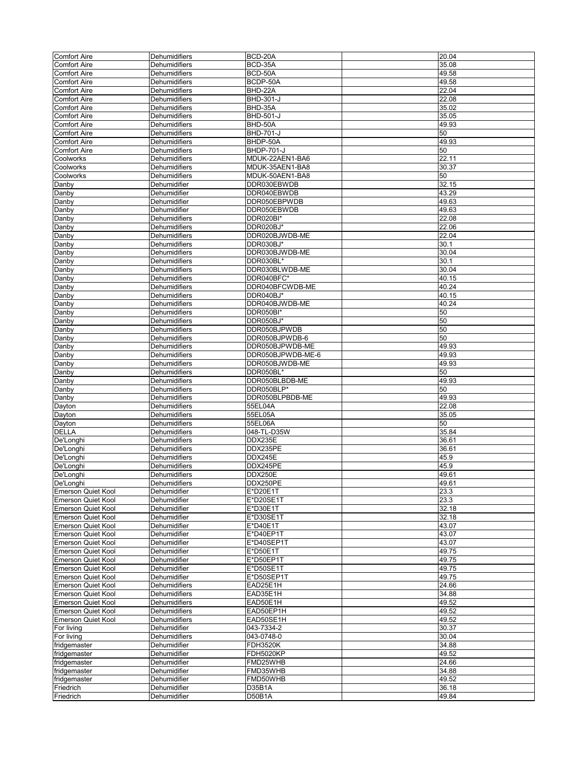| <b>Comfort Aire</b>       |                      | BCD-20A           | 20.04 |
|---------------------------|----------------------|-------------------|-------|
|                           | Dehumidifiers        |                   |       |
| <b>Comfort Aire</b>       | Dehumidifiers        | BCD-35A           | 35.08 |
| <b>Comfort Aire</b>       | Dehumidifiers        | BCD-50A           | 49.58 |
|                           | Dehumidifiers        | BCDP-50A          | 49.58 |
| <b>Comfort Aire</b>       |                      |                   |       |
| <b>Comfort Aire</b>       | Dehumidifiers        | BHD-22A           | 22.04 |
| <b>Comfort Aire</b>       | Dehumidifiers        | BHD-301-J         | 22.08 |
| <b>Comfort Aire</b>       | Dehumidifiers        | BHD-35A           | 35.02 |
|                           |                      |                   |       |
| <b>Comfort Aire</b>       | Dehumidifiers        | <b>BHD-501-J</b>  | 35.05 |
| <b>Comfort Aire</b>       | Dehumidifiers        | BHD-50A           | 49.93 |
| <b>Comfort Aire</b>       | Dehumidifiers        | BHD-701-J         | 50    |
|                           |                      |                   |       |
| <b>Comfort Aire</b>       | Dehumidifiers        | BHDP-50A          | 49.93 |
| <b>Comfort Aire</b>       | Dehumidifiers        | BHDP-701-J        | 50    |
| Coolworks                 | Dehumidifiers        | MDUK-22AEN1-BA6   | 22.11 |
|                           |                      |                   |       |
| Coolworks                 | Dehumidifiers        | MDUK-35AEN1-BA8   | 30.37 |
| Coolworks                 | Dehumidifiers        | MDUK-50AEN1-BA8   | 50    |
| Danby                     | Dehumidifier         | DDR030EBWDB       | 32.15 |
|                           |                      |                   |       |
| Danby                     | Dehumidifier         | DDR040EBWDB       | 43.29 |
| Danby                     | Dehumidifier         | DDR050EBPWDB      | 49.63 |
|                           |                      |                   |       |
| Danby                     | Dehumidifier         | DDR050EBWDB       | 49.63 |
| Danby                     | Dehumidifiers        | DDR020BI*         | 22.08 |
| Danby                     | Dehumidifiers        | DDR020BJ*         | 22.06 |
|                           |                      |                   |       |
| Danby                     | Dehumidifiers        | DDR020BJWDB-ME    | 22.04 |
| Danby                     | Dehumidifiers        | DDR030BJ*         | 30.1  |
| Danby                     | Dehumidifiers        | DDR030BJWDB-ME    | 30.04 |
|                           |                      |                   |       |
| Danby                     | Dehumidifiers        | DDR030BL*         | 30.1  |
| Danby                     | Dehumidifiers        | DDR030BLWDB-ME    | 30.04 |
| Danby                     | <b>Dehumidifiers</b> | DDR040BFC*        | 40.15 |
|                           |                      |                   |       |
| Danby                     | Dehumidifiers        | DDR040BFCWDB-ME   | 40.24 |
| Danby                     | Dehumidifiers        | DDR040BJ*         | 40.15 |
| Danby                     | Dehumidifiers        | DDR040BJWDB-ME    | 40.24 |
|                           |                      |                   |       |
| Danby                     | <b>Dehumidifiers</b> | DDR050BI*         | 50    |
| Danby                     | <b>Dehumidifiers</b> | DDR050BJ*         | 50    |
| Danby                     | Dehumidifiers        | DDR050BJPWDB      | 50    |
|                           |                      |                   |       |
| Danby                     | Dehumidifiers        | DDR050BJPWDB-6    | 50    |
| Danby                     | Dehumidifiers        | DDR050BJPWDB-ME   | 49.93 |
| Danby                     | Dehumidifiers        | DDR050BJPWDB-ME-6 | 49.93 |
|                           |                      |                   |       |
| Danby                     | Dehumidifiers        | DDR050BJWDB-ME    | 49.93 |
| Danby                     | Dehumidifiers        | DDR050BL*         | 50    |
| Danby                     | Dehumidifiers        | DDR050BLBDB-ME    | 49.93 |
|                           |                      |                   |       |
| Danby                     | Dehumidifiers        | DDR050BLP*        | 50    |
| Danby                     | Dehumidifiers        | DDR050BLPBDB-ME   | 49.93 |
| Dayton                    | Dehumidifiers        | 55EL04A           | 22.08 |
|                           |                      |                   |       |
| Dayton                    | Dehumidifiers        | 55EL05A           | 35.05 |
| Dayton                    | <b>Dehumidifiers</b> | 55EL06A           | 50    |
| <b>DELLA</b>              | Dehumidifiers        | 048-TL-D35W       | 35.84 |
|                           |                      |                   |       |
| De'Longhi                 | Dehumidifiers        | DDX235E           | 36.61 |
| De'Longhi                 | Dehumidifiers        | DDX235PE          | 36.61 |
| De'Longhi                 | Dehumidifiers        | DDX245E           | 45.9  |
|                           |                      |                   |       |
| De'Longhi                 | Dehumidifiers        | DDX245PE          | 45.9  |
| De'Longhi                 | <b>Dehumidifiers</b> | <b>DDX250E</b>    | 49.61 |
| De Longhi                 | Dehumidifiers        | DDX250PE          | 49.61 |
|                           |                      |                   |       |
| Emerson Quiet Kool        | Dehumidifier         | E*D20E1T          | 23.3  |
| <b>Emerson Quiet Kool</b> | Dehumidifier         | E*D20SE1T         | 23.3  |
| <b>Emerson Quiet Kool</b> | Dehumidifier         | E*D30E1T          | 32.18 |
|                           |                      |                   |       |
| <b>Emerson Quiet Kool</b> | Dehumidifier         | E*D30SE1T         | 32.18 |
| <b>Emerson Quiet Kool</b> | Dehumidifier         | E*D40E1T          | 43.07 |
| Emerson Quiet Kool        | Dehumidifier         | E*D40EP1T         | 43.07 |
|                           |                      |                   |       |
| Emerson Quiet Kool        | Dehumidifier         | E*D40SEP1T        | 43.07 |
| Emerson Quiet Kool        | Dehumidifier         | E*D50E1T          | 49.75 |
| <b>Emerson Quiet Kool</b> | Dehumidifier         | E*D50EP1T         | 49.75 |
|                           |                      |                   |       |
| Emerson Quiet Kool        | Dehumidifier         | E*D50SE1T         | 49.75 |
| <b>Emerson Quiet Kool</b> | Dehumidifier         | E*D50SEP1T        | 49.75 |
| <b>Emerson Quiet Kool</b> | Dehumidifiers        | EAD25E1H          | 24.66 |
|                           |                      |                   |       |
| <b>Emerson Quiet Kool</b> | Dehumidifiers        | EAD35E1H          | 34.88 |
| <b>Emerson Quiet Kool</b> | Dehumidifiers        | EAD50E1H          | 49.52 |
| <b>Emerson Quiet Kool</b> | Dehumidifiers        | EAD50EP1H         | 49.52 |
|                           |                      |                   |       |
| Emerson Quiet Kool        | Dehumidifiers        | EAD50SE1H         | 49.52 |
| For living                | Dehumidifier         | 043-7334-2        | 30.37 |
| For living                | Dehumidifiers        | 043-0748-0        | 30.04 |
|                           |                      |                   |       |
| fridgemaster              | Dehumidifier         | <b>FDH3520K</b>   | 34.88 |
| fridgemaster              | Dehumidifier         | <b>FDH5020KP</b>  | 49.52 |
| fridgemaster              | Dehumidifier         | FMD25WHB          | 24.66 |
|                           |                      |                   |       |
| fridgemaster              | Dehumidifier         | FMD35WHB          | 34.88 |
| fridgemaster              | Dehumidifier         | FMD50WHB          | 49.52 |
| Friedrich                 | Dehumidifier         | D35B1A            | 36.18 |
|                           |                      |                   |       |
| Friedrich                 | Dehumidifier         | D50B1A            | 49.84 |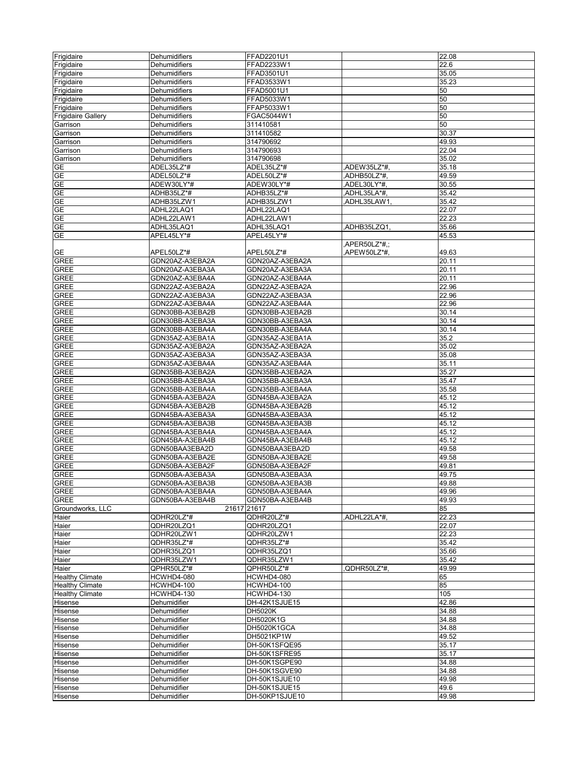| Frigidaire                | Dehumidifiers     | FFAD2201U1      |              | 22.08 |
|---------------------------|-------------------|-----------------|--------------|-------|
| Frigidaire                | Dehumidifiers     | FFAD2233W1      |              | 22.6  |
| Frigidaire                | Dehumidifiers     | FFAD3501U1      |              | 35.05 |
|                           |                   | FFAD3533W1      |              | 35.23 |
| Frigidaire                | Dehumidifiers     |                 |              |       |
| Frigidaire                | Dehumidifiers     | FFAD5001U1      |              | 50    |
| Frigidaire                | Dehumidifiers     | FFAD5033W1      |              | 50    |
| Frigidaire                | Dehumidifiers     | FFAP5033W1      |              | 50    |
| <b>Frigidaire Gallery</b> | Dehumidifiers     | FGAC5044W1      |              | 50    |
| Garrison                  | Dehumidifiers     | 311410581       |              | 50    |
| Garrison                  | Dehumidifiers     | 311410582       |              | 30.37 |
| Garrison                  | Dehumidifiers     | 314790692       |              | 49.93 |
| Garrison                  | Dehumidifiers     | 314790693       |              | 22.04 |
| Garrison                  | Dehumidifiers     | 314790698       |              | 35.02 |
| <b>GE</b>                 | ADEL35LZ*#        | ADEL35LZ*#      | ADEW35LZ*#,  | 35.18 |
| <b>GE</b>                 | ADEL50LZ*#        | ADEL50LZ*#      | ADHB50LZ*#.  | 49.59 |
| GE                        | ADEW30LY*#        | ADEW30LY*#      | ADEL30LY*#,  | 30.55 |
| <b>GE</b>                 | ADHB35LZ*#        | ADHB35LZ*#      | ADHL35LA*#,  | 35.42 |
| <b>GE</b>                 |                   |                 |              |       |
|                           | ADHB35LZW1        | ADHB35LZW1      | ADHL35LAW1   | 35.42 |
| <b>GE</b>                 | ADHL22LAQ1        | ADHL22LAQ1      |              | 22.07 |
| GE                        | ADHL22LAW1        | ADHL22LAW1      |              | 22.23 |
| GE                        | ADHL35LAQ1        | ADHL35LAQ1      | ADHB35LZQ1.  | 35.66 |
| GE                        | APEL45LY*#        | APEL45LY*#      |              | 45.53 |
|                           |                   |                 | APER50LZ*#.: |       |
| GE                        | APEL50LZ*#        | APEL50LZ*#      | APEW50LZ*#,  | 49.63 |
| <b>GREE</b>               | GDN20AZ-A3EBA2A   | GDN20AZ-A3EBA2A |              | 20.11 |
| <b>GREE</b>               | GDN20AZ-A3EBA3A   | GDN20AZ-A3EBA3A |              | 20.11 |
| <b>GREE</b>               | GDN20AZ-A3EBA4A   | GDN20AZ-A3EBA4A |              | 20.11 |
| <b>GREE</b>               | GDN22AZ-A3EBA2A   | GDN22AZ-A3EBA2A |              | 22.96 |
| <b>GREE</b>               | GDN22AZ-A3EBA3A   | GDN22AZ-A3EBA3A |              | 22.96 |
|                           |                   |                 |              |       |
| <b>GREE</b>               | GDN22AZ-A3EBA4A   | GDN22AZ-A3EBA4A |              | 22.96 |
| <b>GREE</b>               | GDN30BB-A3EBA2B   | GDN30BB-A3EBA2B |              | 30.14 |
| <b>GREE</b>               | GDN30BB-A3EBA3A   | GDN30BB-A3EBA3A |              | 30.14 |
| <b>GREE</b>               | GDN30BB-A3EBA4A   | GDN30BB-A3EBA4A |              | 30.14 |
| <b>GREE</b>               | GDN35AZ-A3EBA1A   | GDN35AZ-A3EBA1A |              | 35.2  |
| <b>GREE</b>               | GDN35AZ-A3EBA2A   | GDN35AZ-A3EBA2A |              | 35.02 |
| <b>GREE</b>               | GDN35AZ-A3EBA3A   | GDN35AZ-A3EBA3A |              | 35.08 |
| GREE                      | GDN35AZ-A3EBA4A   | GDN35AZ-A3EBA4A |              | 35.11 |
| <b>GREE</b>               | GDN35BB-A3EBA2A   | GDN35BB-A3EBA2A |              | 35.27 |
| <b>GREE</b>               | GDN35BB-A3EBA3A   | GDN35BB-A3EBA3A |              | 35.47 |
| <b>GREE</b>               | GDN35BB-A3EBA4A   |                 |              | 35.58 |
|                           |                   | GDN35BB-A3EBA4A |              |       |
| GREE                      | GDN45BA-A3EBA2A   | GDN45BA-A3EBA2A |              | 45.12 |
| <b>GREE</b>               | GDN45BA-A3EBA2B   | GDN45BA-A3EBA2B |              | 45.12 |
| <b>GREE</b>               | GDN45BA-A3EBA3A   | GDN45BA-A3EBA3A |              | 45.12 |
| GREE                      | GDN45BA-A3EBA3B   | GDN45BA-A3EBA3B |              | 45.12 |
| <b>GREE</b>               | GDN45BA-A3EBA4A   | GDN45BA-A3EBA4A |              | 45.12 |
| GREE                      | GDN45BA-A3EBA4B   | GDN45BA-A3EBA4B |              | 45.12 |
| <b>GREE</b>               | GDN50BAA3EBA2D    | GDN50BAA3EBA2D  |              | 49.58 |
| <b>GREE</b>               | GDN50BA-A3EBA2E   | GDN50BA-A3EBA2E |              | 49.58 |
| GREE                      | GDN50BA-A3EBA2F   | GDN50BA-A3EBA2F |              | 49.81 |
| GREE                      | GDN50BA-A3EBA3A   | GDN50BA-A3EBA3A |              | 49.75 |
| <b>GREE</b>               | GDN50BA-A3EBA3B   | GDN50BA-A3EBA3B |              | 49.88 |
|                           |                   |                 |              |       |
| <b>GREE</b>               | GDN50BA-A3EBA4A   | GDN50BA-A3EBA4A |              | 49.96 |
| GREE                      | GDN50BA-A3EBA4B   | GDN50BA-A3EBA4B |              | 49.93 |
| Groundworks, LLC          | 21617 21617       |                 |              | 85    |
| Haier                     | QDHR20LZ*#        | QDHR20LZ*#      | ADHL22LA*#,  | 22.23 |
| Haier                     | QDHR20LZQ1        | QDHR20LZQ1      |              | 22.07 |
| Haier                     | QDHR20LZW1        | QDHR20LZW1      |              | 22.23 |
| Haier                     | QDHR35LZ*#        | QDHR35LZ*#      |              | 35.42 |
| Haier                     | QDHR35LZQ1        | QDHR35LZQ1      |              | 35.66 |
| Haier                     | QDHR35LZW1        | QDHR35LZW1      |              | 35.42 |
| Haier                     | QPHR50LZ*#        | QPHR50LZ*#      | QDHR50LZ*#.  | 49.99 |
| <b>Healthy Climate</b>    | HCWHD4-080        | HCWHD4-080      |              | 65    |
| <b>Healthy Climate</b>    | <b>HCWHD4-100</b> | HCWHD4-100      |              | 85    |
| <b>Healthy Climate</b>    | HCWHD4-130        | HCWHD4-130      |              | 105   |
| Hisense                   | Dehumidifier      | DH-42K1SJUE15   |              | 42.86 |
|                           |                   |                 |              |       |
| Hisense                   | Dehumidifier      | <b>DH5020K</b>  |              | 34.88 |
| Hisense                   | Dehumidifier      | DH5020K1G       |              | 34.88 |
| Hisense                   | Dehumidifier      | DH5020K1GCA     |              | 34.88 |
| Hisense                   | Dehumidifier      | DH5021KP1W      |              | 49.52 |
| Hisense                   | Dehumidifier      | DH-50K1SFQE95   |              | 35.17 |
| Hisense                   | Dehumidifier      | DH-50K1SFRE95   |              | 35.17 |
| Hisense                   | Dehumidifier      | DH-50K1SGPE90   |              | 34.88 |
| Hisense                   | Dehumidifier      | DH-50K1SGVE90   |              | 34.88 |
| Hisense                   | Dehumidifier      | DH-50K1SJUE10   |              | 49.98 |
| Hisense                   | Dehumidifier      | DH-50K1SJUE15   |              | 49.6  |
| Hisense                   | Dehumidifier      | DH-50KP1SJUE10  |              | 49.98 |
|                           |                   |                 |              |       |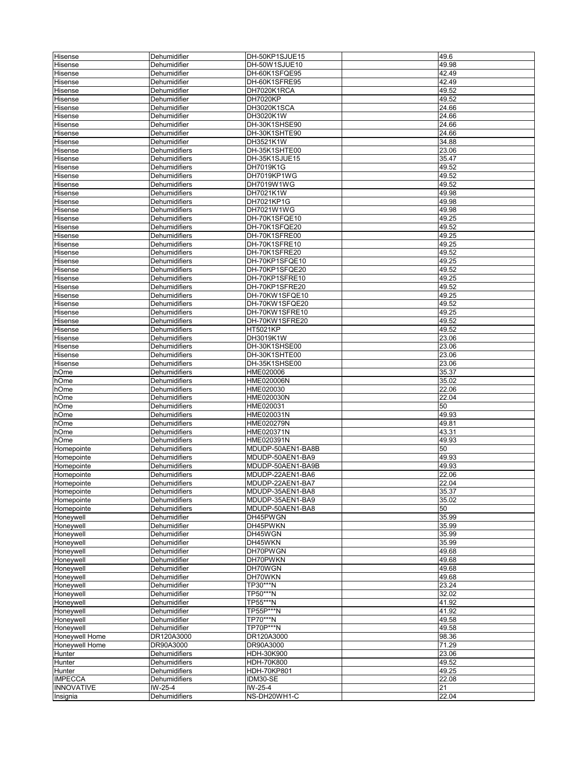| Hisense           | Dehumidifier         | DH-50KP1SJUE15     | 49.6  |
|-------------------|----------------------|--------------------|-------|
| Hisense           | Dehumidifier         | DH-50W1SJUE10      | 49.98 |
|                   |                      |                    |       |
| Hisense           | Dehumidifier         | DH-60K1SFQE95      | 42.49 |
| Hisense           | Dehumidifier         | DH-60K1SFRE95      | 42.49 |
| Hisense           | Dehumidifier         | DH7020K1RCA        | 49.52 |
| Hisense           | Dehumidifier         | <b>DH7020KP</b>    | 49.52 |
| Hisense           | Dehumidifier         | DH3020K1SCA        | 24.66 |
| Hisense           | Dehumidifier         | DH3020K1W          | 24.66 |
| Hisense           | Dehumidifier         | DH-30K1SHSE90      | 24.66 |
| Hisense           | Dehumidifier         | DH-30K1SHTE90      | 24.66 |
| Hisense           | Dehumidifier         | DH3521K1W          | 34.88 |
| Hisense           | Dehumidifiers        | DH-35K1SHTE00      | 23.06 |
|                   |                      | DH-35K1SJUE15      |       |
| Hisense           | Dehumidifiers        |                    | 35.47 |
| Hisense           | Dehumidifiers        | DH7019K1G          | 49.52 |
| Hisense           | Dehumidifiers        | DH7019KP1WG        | 49.52 |
| Hisense           | Dehumidifiers        | DH7019W1WG         | 49.52 |
| Hisense           | Dehumidifiers        | DH7021K1W          | 49.98 |
| Hisense           | Dehumidifiers        | DH7021KP1G         | 49.98 |
| Hisense           | Dehumidifiers        | DH7021W1WG         | 49.98 |
| Hisense           | Dehumidifiers        | DH-70K1SFQE10      | 49.25 |
| Hisense           | Dehumidifiers        | DH-70K1SFQE20      | 49.52 |
|                   |                      |                    |       |
| Hisense           | Dehumidifiers        | DH-70K1SFRE00      | 49.25 |
| Hisense           | Dehumidifiers        | DH-70K1SFRE10      | 49.25 |
| Hisense           | Dehumidifiers        | DH-70K1SFRE20      | 49.52 |
| Hisense           | Dehumidifiers        | DH-70KP1SFQE10     | 49.25 |
| Hisense           | Dehumidifiers        | DH-70KP1SFQE20     | 49.52 |
| Hisense           | Dehumidifiers        | DH-70KP1SFRE10     | 49.25 |
| Hisense           | Dehumidifiers        | DH-70KP1SFRE20     | 49.52 |
| Hisense           | Dehumidifiers        | DH-70KW1SFQE10     | 49.25 |
| Hisense           | Dehumidifiers        | DH-70KW1SFQE20     | 49.52 |
|                   |                      |                    |       |
| Hisense           | Dehumidifiers        | DH-70KW1SFRE10     | 49.25 |
| Hisense           | Dehumidifiers        | DH-70KW1SFRE20     | 49.52 |
| Hisense           | Dehumidifiers        | HT5021KP           | 49.52 |
| Hisense           | Dehumidifiers        | DH3019K1W          | 23.06 |
| Hisense           | Dehumidifiers        | DH-30K1SHSE00      | 23.06 |
| Hisense           | Dehumidifiers        | DH-30K1SHTE00      | 23.06 |
| Hisense           | Dehumidifiers        | DH-35K1SHSE00      | 23.06 |
| hOme              | Dehumidifiers        | HME020006          | 35.37 |
| hOme              | Dehumidifiers        | HME020006N         | 35.02 |
|                   |                      |                    |       |
| hOme              | Dehumidifiers        | HME020030          | 22.06 |
| hOme              | Dehumidifiers        | HME020030N         | 22.04 |
| hOme              | Dehumidifiers        | HME020031          | 50    |
| hOme              | Dehumidifiers        | HME020031N         | 49.93 |
| hOme              | Dehumidifiers        | HME020279N         | 49.81 |
| hOme              | <b>Dehumidifiers</b> | HME020371N         | 43.31 |
| hOme              | Dehumidifiers        | HME020391N         | 49.93 |
| Homepointe        | <b>Dehumidifiers</b> | MDUDP-50AEN1-BA8B  | 50    |
| Homepointe        | Dehumidifiers        | MDUDP-50AEN1-BA9   | 49.93 |
| Homepointe        | Dehumidifiers        | MDUDP-50AEN1-BA9B  | 49.93 |
|                   |                      |                    |       |
| Homepointe        | Dehumidifiers        | MDUDP-22AEN1-BA6   | 22.06 |
| Homepointe        | Denumiairiers        | MDUDP-22AEN1-BA7   | 22.04 |
| Homepointe        | Dehumidifiers        | MDUDP-35AEN1-BA8   | 35.37 |
| Homepointe        | Dehumidifiers        | MDUDP-35AEN1-BA9   | 35.02 |
| Homepointe        | Dehumidifiers        | MDUDP-50AEN1-BA8   | 50    |
| Honeywell         | Dehumidifier         | DH45PWGN           | 35.99 |
| Honeywell         | Dehumidifier         | DH45PWKN           | 35.99 |
| Honeywell         | Dehumidifier         | DH45WGN            | 35.99 |
| Honeywell         | Dehumidifier         | DH45WKN            | 35.99 |
|                   |                      |                    |       |
| Honeywell         | Dehumidifier         | DH70PWGN           | 49.68 |
| Honeywell         | Dehumidifier         | DH70PWKN           | 49.68 |
| Honeywell         | Dehumidifier         | DH70WGN            | 49.68 |
| Honeywell         | Dehumidifier         | DH70WKN            | 49.68 |
| Honeywell         | Dehumidifier         | TP30***N           | 23.24 |
| <b>Honeywell</b>  | Dehumidifier         | TP50***N           | 32.02 |
| Honeywell         | Dehumidifier         | TP55***N           | 41.92 |
| Honeywell         | Dehumidifier         | <b>TP55P***N</b>   | 41.92 |
| Honeywell         | Dehumidifier         | TP70***N           | 49.58 |
|                   |                      |                    |       |
| Honeywell         | Dehumidifier         | TP70P***N          | 49.58 |
| Honeywell Home    | DR120A3000           | DR120A3000         | 98.36 |
| Honeywell Home    | DR90A3000            | DR90A3000          | 71.29 |
| Hunter            | Dehumidifiers        | HDH-30K900         | 23.06 |
| Hunter            | Dehumidifiers        | HDH-70K800         | 49.52 |
| Hunter            | Dehumidifiers        | <b>HDH-70KP801</b> | 49.25 |
| <b>IMPECCA</b>    | Dehumidifiers        | IDM30-SE           | 22.08 |
| <b>INNOVATIVE</b> | IW-25-4              | IW-25-4            | 21    |
|                   | Dehumidifiers        |                    |       |
| Insignia          |                      | NS-DH20WH1-C       | 22.04 |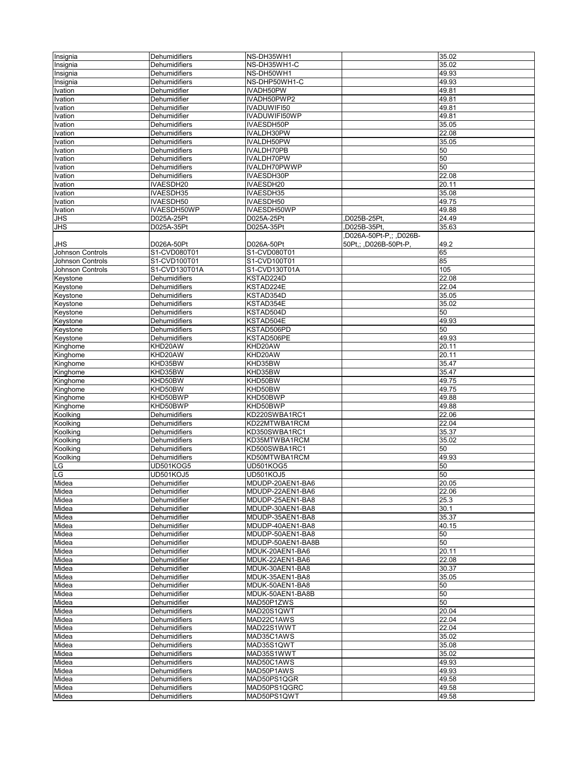| Insignia         | Dehumidifiers        | NS-DH35WH1        |                         | 35.02 |
|------------------|----------------------|-------------------|-------------------------|-------|
| Insignia         | Dehumidifiers        | NS-DH35WH1-C      |                         | 35.02 |
|                  |                      |                   |                         |       |
| Insignia         | Dehumidifiers        | NS-DH50WH1        |                         | 49.93 |
| Insignia         | Dehumidifiers        | NS-DHP50WH1-C     |                         | 49.93 |
| <b>Ivation</b>   | Dehumidifier         | IVADH50PW         |                         | 49.81 |
| Ivation          | Dehumidifier         | IVADH50PWP2       |                         | 49.81 |
| Ivation          | Dehumidifier         | IVADUWIFI50       |                         | 49.81 |
| Ivation          | Dehumidifier         | IVADUWIFI50WP     |                         | 49.81 |
| Ivation          | <b>Dehumidifiers</b> | IVAESDH50P        |                         | 35.05 |
| Ivation          | Dehumidifiers        | IVALDH30PW        |                         | 22.08 |
| Ivation          | Dehumidifiers        | IVALDH50PW        |                         | 35.05 |
|                  |                      |                   |                         |       |
| Ivation          | Dehumidifiers        | IVALDH70PB        |                         | 50    |
| Ivation          | Dehumidifiers        | IVALDH70PW        |                         | 50    |
| Ivation          | Dehumidifiers        | IVALDH70PWWP      |                         | 50    |
| Ivation          | Dehumidifiers        | IVAESDH30P        |                         | 22.08 |
| Ivation          | IVAESDH20            | IVAESDH20         |                         | 20.11 |
| <b>Ivation</b>   | IVAESDH35            | IVAESDH35         |                         | 35.08 |
| Ivation          | IVAESDH50            | IVAESDH50         |                         | 49.75 |
| Ivation          | IVAESDH50WP          | IVAESDH50WP       |                         | 49.88 |
|                  | D025A-25Pt           | D025A-25Pt        | D025B-25Pt,             | 24.49 |
| JHS              |                      |                   |                         |       |
| <b>JHS</b>       | D025A-35Pt           | D025A-35Pt        | D025B-35Pt,             | 35.63 |
|                  |                      |                   | ,D026A-50Pt-P,; ,D026B- |       |
| JHS              | D026A-50Pt           | D026A-50Pt        | 50Pt,; ,D026B-50Pt-P,   | 49.2  |
| Johnson Controls | S1-CVD080T01         | S1-CVD080T01      |                         | 65    |
| Johnson Controls | S1-CVD100T01         | S1-CVD100T01      |                         | 85    |
| Johnson Controls | S1-CVD130T01A        | S1-CVD130T01A     |                         | 105   |
| Keystone         | Dehumidifiers        | KSTAD224D         |                         | 22.08 |
| Keystone         | Dehumidifiers        | KSTAD224E         |                         | 22.04 |
|                  |                      |                   |                         |       |
| Keystone         | Dehumidifiers        | KSTAD354D         |                         | 35.05 |
| Keystone         | Dehumidifiers        | KSTAD354E         |                         | 35.02 |
| Keystone         | Dehumidifiers        | KSTAD504D         |                         | 50    |
| Keystone         | Dehumidifiers        | KSTAD504E         |                         | 49.93 |
| Keystone         | Dehumidifiers        | KSTAD506PD        |                         | 50    |
| Keystone         | Dehumidifiers        | KSTAD506PE        |                         | 49.93 |
| Kinghome         | KHD20AW              | KHD20AW           |                         | 20.11 |
| Kinghome         | KHD20AW              | KHD20AW           |                         | 20.11 |
|                  | KHD35BW              | KHD35BW           |                         | 35.47 |
| Kinghome         |                      |                   |                         |       |
| Kinghome         | KHD35BW              | KHD35BW           |                         | 35.47 |
| Kinghome         | KHD50BW              | KHD50BW           |                         | 49.75 |
| Kinghome         | KHD50BW              | KHD50BW           |                         | 49.75 |
| Kinghome         | KHD50BWP             | KHD50BWP          |                         | 49.88 |
| Kinghome         | KHD50BWP             | KHD50BWP          |                         | 49.88 |
| Koolking         | Dehumidifiers        | KD220SWBA1RC1     |                         | 22.06 |
| Koolking         | Dehumidifiers        | KD22MTWBA1RCM     |                         | 22.04 |
| Koolking         | Dehumidifiers        | KD350SWBA1RC1     |                         | 35.37 |
|                  |                      | KD35MTWBA1RCM     |                         |       |
| Koolking         | Dehumidifiers        |                   |                         | 35.02 |
| Koolking         | Dehumidifiers        | KD500SWBA1RC1     |                         | 50    |
| Koolking         | Dehumidifiers        | KD50MTWBA1RCM     |                         | 49.93 |
| _G               | UD501KOG5            | UD501KOG5         |                         | 50    |
| -G               | UD501KOJ5            | UD501KOJ5         |                         | 50    |
| Midea            | Denumiairier         | MDUDP-20AEN1-BA6  |                         | 20.05 |
| Midea            | Dehumidifier         | MDUDP-22AEN1-BA6  |                         | 22.06 |
| Midea            | Dehumidifier         | MDUDP-25AEN1-BA8  |                         | 25.3  |
| Midea            |                      | MDUDP-30AEN1-BA8  |                         | 30.1  |
|                  | Dehumidifier         |                   |                         |       |
| Midea            | Dehumidifier         | MDUDP-35AEN1-BA8  |                         | 35.37 |
| Midea            | Dehumidifier         | MDUDP-40AEN1-BA8  |                         | 40.15 |
| Midea            | Dehumidifier         | MDUDP-50AEN1-BA8  |                         | 50    |
| Midea            | Dehumidifier         | MDUDP-50AEN1-BA8B |                         | 50    |
| Midea            | Dehumidifier         | MDUK-20AEN1-BA6   |                         | 20.11 |
| Midea            | Dehumidifier         | MDUK-22AEN1-BA6   |                         | 22.08 |
| Midea            | Dehumidifier         | MDUK-30AEN1-BA8   |                         | 30.37 |
| Midea            | Dehumidifier         | MDUK-35AEN1-BA8   |                         | 35.05 |
|                  |                      |                   |                         |       |
| Midea            | Dehumidifier         | MDUK-50AEN1-BA8   |                         | 50    |
| Midea            | Dehumidifier         | MDUK-50AEN1-BA8B  |                         | 50    |
| Midea            | Dehumidifier         | MAD50P1ZWS        |                         | 50    |
| Midea            | Dehumidifiers        | MAD20S1QWT        |                         | 20.04 |
| Midea            | Dehumidifiers        | MAD22C1AWS        |                         | 22.04 |
| Midea            | Dehumidifiers        | MAD22S1WWT        |                         | 22.04 |
| Midea            | Dehumidifiers        | MAD35C1AWS        |                         | 35.02 |
| Midea            | Dehumidifiers        | MAD35S1QWT        |                         | 35.08 |
|                  |                      |                   |                         | 35.02 |
| Midea            | Dehumidifiers        | MAD35S1WWT        |                         |       |
| Midea            | Dehumidifiers        | MAD50C1AWS        |                         | 49.93 |
| Midea            | Dehumidifiers        | MAD50P1AWS        |                         | 49.93 |
| Midea            | Dehumidifiers        | MAD50PS1QGR       |                         | 49.58 |
| Midea            | Dehumidifiers        | MAD50PS1QGRC      |                         | 49.58 |
| Midea            | Dehumidifiers        | MAD50PS1QWT       |                         | 49.58 |
|                  |                      |                   |                         |       |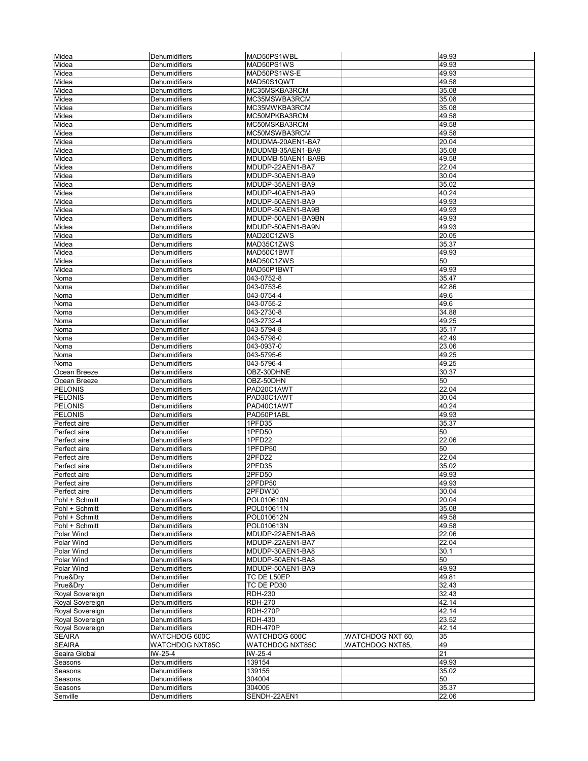| Midea                          | Dehumidifiers                  | MAD50PS1WBL            |                        | 49.93          |
|--------------------------------|--------------------------------|------------------------|------------------------|----------------|
| Midea                          | Dehumidifiers                  | MAD50PS1WS             |                        | 49.93          |
| Midea                          | Dehumidifiers                  | MAD50PS1WS-E           |                        | 49.93          |
|                                |                                | MAD50S1QWT             |                        |                |
| Midea                          | Dehumidifiers                  |                        |                        | 49.58          |
| Midea                          | Dehumidifiers                  | MC35MSKBA3RCM          |                        | 35.08          |
| Midea                          | Dehumidifiers                  | MC35MSWBA3RCM          |                        | 35.08          |
| Midea                          | Dehumidifiers                  | MC35MWKBA3RCM          |                        | 35.08          |
| Midea                          | Dehumidifiers                  | MC50MPKBA3RCM          |                        | 49.58          |
| Midea                          | Dehumidifiers                  | MC50MSKBA3RCM          |                        | 49.58          |
| Midea                          | Dehumidifiers                  | MC50MSWBA3RCM          |                        | 49.58          |
| Midea                          | Dehumidifiers                  | MDUDMA-20AEN1-BA7      |                        | 20.04          |
| Midea                          | <b>Dehumidifiers</b>           | MDUDMB-35AEN1-BA9      |                        | 35.08          |
| Midea                          | Dehumidifiers                  | MDUDMB-50AEN1-BA9B     |                        | 49.58          |
| Midea                          | Dehumidifiers                  | MDUDP-22AEN1-BA7       |                        | 22.04          |
| Midea                          | Dehumidifiers                  | MDUDP-30AEN1-BA9       |                        | 30.04          |
|                                |                                |                        |                        |                |
| Midea                          | Dehumidifiers                  | MDUDP-35AEN1-BA9       |                        | 35.02          |
| Midea                          | Dehumidifiers                  | MDUDP-40AEN1-BA9       |                        | 40.24          |
| Midea                          | Dehumidifiers                  | MDUDP-50AEN1-BA9       |                        | 49.93          |
| Midea                          | Dehumidifiers                  | MDUDP-50AEN1-BA9B      |                        | 49.93          |
| Midea                          | Dehumidifiers                  | MDUDP-50AEN1-BA9BN     |                        | 49.93          |
| Midea                          | Dehumidifiers                  | MDUDP-50AEN1-BA9N      |                        | 49.93          |
| Midea                          | Dehumidifiers                  | MAD20C1ZWS             |                        | 20.05          |
| Midea                          | Dehumidifiers                  | MAD35C1ZWS             |                        | 35.37          |
| Midea                          | Dehumidifiers                  | MAD50C1BWT             |                        | 49.93          |
|                                | Dehumidifiers                  | MAD50C1ZWS             |                        | 50             |
| Midea                          |                                |                        |                        |                |
| Midea                          | Dehumidifiers                  | MAD50P1BWT             |                        | 49.93          |
| Noma                           | Dehumidifier                   | 043-0752-8             |                        | 35.47          |
| Noma                           | Dehumidifier                   | 043-0753-6             |                        | 42.86          |
| Noma                           | Dehumidifier                   | 043-0754-4             |                        | 49.6           |
| Noma                           | Dehumidifier                   | 043-0755-2             |                        | 49.6           |
| Noma                           | Dehumidifier                   | 043-2730-8             |                        | 34.88          |
| Noma                           | Dehumidifier                   | 043-2732-4             |                        | 49.25          |
| Noma                           | Dehumidifier                   | 043-5794-8             |                        | 35.17          |
| Noma                           | Dehumidifier                   | 043-5798-0             |                        | 42.49          |
|                                | Dehumidifiers                  | 043-0937-0             |                        | 23.06          |
| Noma                           |                                |                        |                        |                |
| Noma                           | Dehumidifiers                  | 043-5795-6             |                        | 49.25          |
| Noma                           | Dehumidifiers                  | 043-5796-4             |                        | 49.25          |
| Ocean Breeze                   | Dehumidifiers                  | OBZ-30DHNE             |                        | 30.37          |
| Ocean Breeze                   | Dehumidifiers                  | OBZ-50DHN              |                        | 50             |
|                                |                                |                        |                        |                |
| <b>PELONIS</b>                 | Dehumidifiers                  | PAD20C1AWT             |                        | 22.04          |
| <b>PELONIS</b>                 | Dehumidifiers                  | PAD30C1AWT             |                        | 30.04          |
|                                |                                |                        |                        |                |
| <b>PELONIS</b>                 | Dehumidifiers                  | PAD40C1AWT             |                        | 40.24          |
| <b>PELONIS</b>                 | Dehumidifiers                  | PAD50P1ABL             |                        | 49.93          |
| Perfect aire                   | Dehumidifier                   | 1PFD35                 |                        | 35.37          |
| Perfect aire                   | Dehumidifier                   | 1PFD50                 |                        | 50             |
| Perfect aire                   | <b>Dehumidifiers</b>           | 1PFD22                 |                        | 22.06          |
| Perfect aire                   | Dehumidifiers                  | 1PFDP50                |                        | 50             |
| Perfect aire                   | Dehumidifiers                  | 2PFD22                 |                        | 22.04          |
| Perfect aire                   | Dehumidifiers                  | 2PFD35                 |                        | 35.02          |
| Perfect aire                   | Dehumidifiers                  | 2PFD50                 |                        | 49.93          |
| Perrect aire                   | Denumiairiers                  | 2PFDP50                |                        | 49.93          |
|                                | Dehumidifiers                  | 2PFDW30                |                        | 30.04          |
| Perfect aire<br>Pohl + Schmitt | Dehumidifiers                  | POL010610N             |                        | 20.04          |
|                                |                                |                        |                        |                |
| Pohl + Schmitt                 | Dehumidifiers                  | POL010611N             |                        | 35.08          |
| Pohl + Schmitt                 | Dehumidifiers                  | POL010612N             |                        | 49.58          |
| Pohl + Schmitt                 | <b>Dehumidifiers</b>           | POL010613N             |                        | 49.58          |
| Polar Wind                     | Dehumidifiers                  | MDUDP-22AEN1-BA6       |                        | 22.06          |
| Polar Wind                     | Dehumidifiers                  | MDUDP-22AEN1-BA7       |                        | 22.04          |
| Polar Wind                     | Dehumidifiers                  | MDUDP-30AEN1-BA8       |                        | 30.1           |
| Polar Wind                     | <b>Dehumidifiers</b>           | MDUDP-50AEN1-BA8       |                        | 50             |
| Polar Wind                     | Dehumidifiers                  | MDUDP-50AEN1-BA9       |                        | 49.93          |
| Prue&Dry                       | Dehumidifier                   | TC DE L50EP            |                        | 49.81          |
| Prue&Dry                       | Dehumidifier                   | TC DE PD30             |                        | 32.43          |
|                                |                                |                        |                        |                |
| Royal Sovereign                | Dehumidifiers                  | <b>RDH-230</b>         |                        | 32.43          |
| Royal Sovereign                | Dehumidifiers                  | <b>RDH-270</b>         |                        | 42.14          |
| Royal Sovereign                | Dehumidifiers                  | <b>RDH-270P</b>        |                        | 42.14          |
| Royal Sovereign                | Dehumidifiers                  | <b>RDH-430</b>         |                        | 23.52          |
| Royal Sovereign                | Dehumidifiers                  | <b>RDH-470P</b>        |                        | 42.14          |
| <b>SEAIRA</b>                  | WATCHDOG 600C                  | WATCHDOG 600C          | WATCHDOG NXT 60,       | 35             |
| <b>SEAIRA</b>                  | <b>WATCHDOG NXT85C</b>         | WATCHDOG NXT85C        | <b>WATCHDOG NXT85,</b> | 49             |
| Seaira Global                  | IW-25-4                        | IW-25-4                |                        | 21             |
| Seasons                        | Dehumidifiers                  | 139154                 |                        | 49.93          |
| Seasons                        | Dehumidifiers                  | 139155                 |                        | 35.02          |
|                                |                                |                        |                        |                |
| Seasons                        | Dehumidifiers                  | 304004                 |                        | 50             |
| Seasons<br>Senville            | Dehumidifiers<br>Dehumidifiers | 304005<br>SENDH-22AEN1 |                        | 35.37<br>22.06 |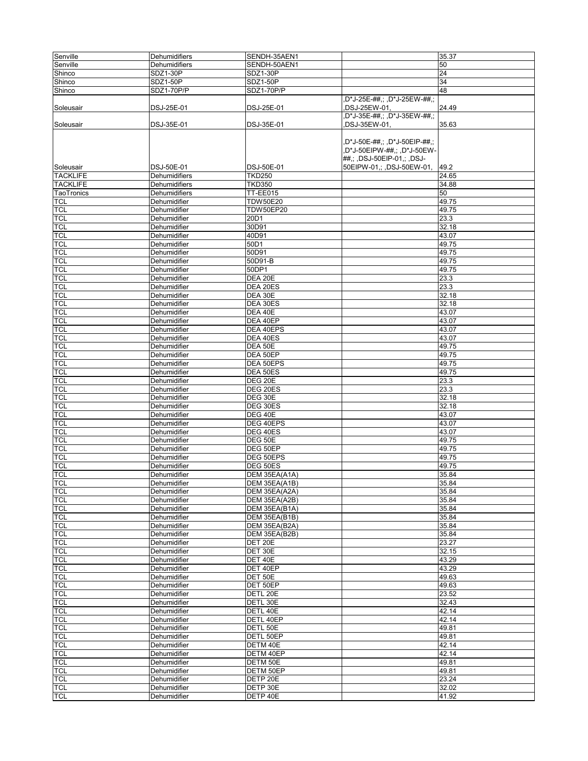| Senville        | Dehumidifiers     | SENDH-35AEN1     |                              | 35.37 |
|-----------------|-------------------|------------------|------------------------------|-------|
| Senville        | Dehumidifiers     | SENDH-50AEN1     |                              | 50    |
| Shinco          | SDZ1-30P          | <b>SDZ1-30P</b>  |                              | 24    |
|                 |                   |                  |                              |       |
| Shinco          | SDZ1-50P          | <b>SDZ1-50P</b>  |                              | 34    |
| Shinco          | <b>SDZ1-70P/P</b> | SDZ1-70P/P       |                              | 48    |
|                 |                   |                  | D*J-25E-##,; ,D*J-25EW-##,;  |       |
| Soleusair       | DSJ-25E-01        | DSJ-25E-01       | DSJ-25EW-01,                 | 24.49 |
|                 |                   |                  | D*J-35E-##,; ,D*J-35EW-##,;  |       |
| Soleusair       | DSJ-35E-01        | DSJ-35E-01       | DSJ-35EW-01,                 | 35.63 |
|                 |                   |                  |                              |       |
|                 |                   |                  | D*J-50E-##,; ,D*J-50EIP-##,; |       |
|                 |                   |                  | ,D*J-50EIPW-##,; ,D*J-50EW-  |       |
|                 |                   |                  |                              |       |
|                 |                   |                  | ##,; ,DSJ-50EIP-01,; ,DSJ-   |       |
| Soleusair       | DSJ-50E-01        | DSJ-50E-01       | 50EIPW-01,; ,DSJ-50EW-01,    | 49.2  |
| <b>TACKLIFE</b> | Dehumidifiers     | <b>TKD250</b>    |                              | 24.65 |
| <b>TACKLIFE</b> | Dehumidifiers     | <b>TKD350</b>    |                              | 34.88 |
| TaoTronics      | Dehumidifiers     | <b>TT-EE015</b>  |                              | 50    |
| TCL             | Dehumidifier      | <b>TDW50E20</b>  |                              | 49.75 |
| <b>TCL</b>      | Dehumidifier      | <b>TDW50EP20</b> |                              | 49.75 |
| <b>TCL</b>      | Dehumidifier      | 20D1             |                              | 23.3  |
| <b>TCL</b>      | Dehumidifier      | 30D91            |                              | 32.18 |
| <b>TCL</b>      | Dehumidifier      | 40D91            |                              | 43.07 |
|                 |                   |                  |                              |       |
| <b>TCL</b>      | Dehumidifier      | 50D1             |                              | 49.75 |
| <b>TCL</b>      | Dehumidifier      | 50D91            |                              | 49.75 |
| <b>TCL</b>      | Dehumidifier      | 50D91-B          |                              | 49.75 |
| <b>TCL</b>      | Dehumidifier      | 50DP1            |                              | 49.75 |
| <b>TCL</b>      | Dehumidifier      | DEA 20E          |                              | 23.3  |
| <b>TCL</b>      | Dehumidifier      | DEA 20ES         |                              | 23.3  |
| <b>TCL</b>      | Dehumidifier      | DEA 30E          |                              | 32.18 |
| TCL             | Dehumidifier      | DEA 30ES         |                              | 32.18 |
| <b>TCL</b>      | Dehumidifier      | DEA 40E          |                              | 43.07 |
|                 |                   |                  |                              |       |
| <b>TCL</b>      | Dehumidifier      | DEA 40EP         |                              | 43.07 |
| <b>TCL</b>      | Dehumidifier      | DEA 40EPS        |                              | 43.07 |
| <b>TCL</b>      | Dehumidifier      | DEA 40ES         |                              | 43.07 |
| <b>TCL</b>      | Dehumidifier      | DEA 50E          |                              | 49.75 |
| <b>TCL</b>      | Dehumidifier      | DEA 50EP         |                              | 49.75 |
| <b>TCL</b>      | Dehumidifier      | DEA 50EPS        |                              | 49.75 |
| <b>TCL</b>      | Dehumidifier      | DEA 50ES         |                              | 49.75 |
| <b>TCL</b>      | Dehumidifier      | DEG 20E          |                              | 23.3  |
| <b>TCL</b>      | Dehumidifier      | DEG 20ES         |                              | 23.3  |
|                 |                   |                  |                              |       |
| <b>TCL</b>      | Dehumidifier      | DEG 30E          |                              | 32.18 |
| TCL             | Dehumidifier      | DEG 30ES         |                              | 32.18 |
| <b>TCL</b>      | Dehumidifier      | DEG 40E          |                              | 43.07 |
| <b>TCL</b>      | Dehumidifier      | DEG 40EPS        |                              | 43.07 |
| <b>TCL</b>      | Dehumidifier      | DEG 40ES         |                              | 43.07 |
| <b>TCL</b>      | Dehumidifier      | DEG 50E          |                              | 49.75 |
| <b>TCL</b>      | Dehumidifier      | DEG 50EP         |                              | 49.75 |
| <b>TCL</b>      | Dehumidifier      | DEG 50EPS        |                              | 49.75 |
| <b>TCL</b>      | Dehumidifier      | DEG 50ES         |                              | 49.75 |
|                 |                   | DEM 35EA(A1A)    |                              | 35.84 |
| <b>TCL</b>      | Dehumidifier      |                  |                              |       |
| <b>TCL</b>      | Dehumidifier      | DEM 35EA(A1B)    |                              | 35.84 |
| <b>TCL</b>      | Dehumidifier      | DEM 35EA(A2A)    |                              | 35.84 |
| <b>TCL</b>      | Dehumidifier      | DEM 35EA(A2B)    |                              | 35.84 |
| <b>TCL</b>      | Dehumidifier      | DEM 35EA(B1A)    |                              | 35.84 |
| <b>TCL</b>      | Dehumidifier      | DEM 35EA(B1B)    |                              | 35.84 |
| <b>TCL</b>      | Dehumidifier      | DEM 35EA(B2A)    |                              | 35.84 |
| <b>TCL</b>      | Dehumidifier      | DEM 35EA(B2B)    |                              | 35.84 |
| <b>TCL</b>      | Dehumidifier      | DET 20E          |                              | 23.27 |
| <b>TCL</b>      | Dehumidifier      | DET 30E          |                              |       |
|                 |                   |                  |                              | 32.15 |
| <b>TCL</b>      | Dehumidifier      | DET 40E          |                              | 43.29 |
| <b>TCL</b>      | Dehumidifier      | DET 40EP         |                              | 43.29 |
| <b>TCL</b>      | Dehumidifier      | DET 50E          |                              | 49.63 |
| <b>TCL</b>      | Dehumidifier      | DET 50EP         |                              | 49.63 |
| <b>TCL</b>      | Dehumidifier      | DETL 20E         |                              | 23.52 |
| <b>TCL</b>      | Dehumidifier      | DETL 30E         |                              | 32.43 |
| <b>TCL</b>      | Dehumidifier      | DETL 40E         |                              | 42.14 |
| TCL             | Dehumidifier      | DETL 40EP        |                              | 42.14 |
|                 |                   |                  |                              |       |
| <b>TCL</b>      | Dehumidifier      | DETL 50E         |                              | 49.81 |
| <b>TCL</b>      | Dehumidifier      | DETL 50EP        |                              | 49.81 |
| <b>TCL</b>      | Dehumidifier      | DETM 40E         |                              | 42.14 |
| <b>TCL</b>      | Dehumidifier      | DETM 40EP        |                              | 42.14 |
| <b>TCL</b>      | Dehumidifier      | DETM 50E         |                              | 49.81 |
| <b>TCL</b>      | Dehumidifier      | DETM 50EP        |                              | 49.81 |
| <b>TCL</b>      | Dehumidifier      | DETP 20E         |                              | 23.24 |
| <b>TCL</b>      | Dehumidifier      | DETP 30E         |                              | 32.02 |
|                 |                   |                  |                              | 41.92 |
| <b>TCL</b>      | Dehumidifier      | DETP 40E         |                              |       |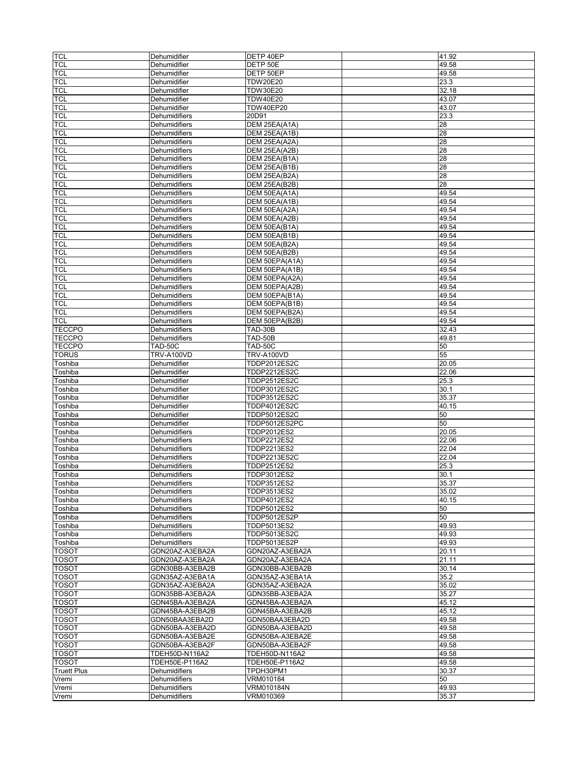| <b>TCL</b>         | Dehumidifier                   | DETP 40EP                      | 41.92          |
|--------------------|--------------------------------|--------------------------------|----------------|
| <b>TCL</b>         | Dehumidifier                   | DETP 50E                       | 49.58          |
| <b>TCL</b>         | Dehumidifier                   | DETP 50EP                      | 49.58          |
| <b>TCL</b>         | Dehumidifier                   | <b>TDW20E20</b>                | 23.3           |
| <b>TCL</b>         | Dehumidifier                   | <b>TDW30E20</b>                | 32.18          |
| <b>TCL</b>         | Dehumidifier                   | <b>TDW40E20</b>                | 43.07          |
|                    |                                |                                |                |
| <b>TCL</b>         | Dehumidifier                   | <b>TDW40EP20</b>               | 43.07          |
| <b>TCL</b>         | Dehumidifiers                  | 20D91                          | 23.3           |
| <b>TCL</b>         | Dehumidifiers                  | DEM 25EA(A1A)                  | 28             |
| <b>TCL</b>         | Dehumidifiers                  | DEM 25EA(A1B)                  | 28             |
| <b>TCL</b>         | Dehumidifiers                  | DEM 25EA(A2A)                  | 28             |
| <b>TCL</b>         | Dehumidifiers                  | DEM 25EA(A2B)                  | 28             |
| <b>TCL</b>         | <b>Dehumidifiers</b>           | DEM 25EA(B1A)                  | 28             |
| <b>TCL</b>         | Dehumidifiers                  | DEM 25EA(B1B)                  | 28             |
| <b>TCL</b>         | Dehumidifiers                  | DEM 25EA(B2A)                  | 28             |
| <b>TCL</b>         | <b>Dehumidifiers</b>           | DEM 25EA(B2B)                  | 28             |
| <b>TCL</b>         | Dehumidifiers                  | DEM 50EA(A1A)                  | 49.54          |
| <b>TCL</b>         | Dehumidifiers                  | DEM 50EA(A1B)                  | 49.54          |
| <b>TCL</b>         | Dehumidifiers                  | DEM 50EA(A2A)                  | 49.54          |
| <b>TCL</b>         | Dehumidifiers                  | DEM 50EA(A2B)                  | 49.54          |
| <b>TCL</b>         | Dehumidifiers                  | DEM 50EA(B1A)                  | 49.54          |
| <b>TCL</b>         | Dehumidifiers                  |                                | 49.54          |
| <b>TCL</b>         | Dehumidifiers                  | DEM 50EA(B1B)<br>DEM 50EA(B2A) | 49.54          |
|                    |                                |                                |                |
| <b>TCL</b>         | Dehumidifiers                  | DEM 50EA(B2B)                  | 49.54          |
| <b>TCL</b>         | Dehumidifiers                  | DEM 50EPA(A1A)                 | 49.54          |
| <b>TCL</b>         | Dehumidifiers                  | DEM 50EPA(A1B)                 | 49.54          |
| <b>TCL</b>         | Dehumidifiers                  | DEM 50EPA(A2A)                 | 49.54          |
| <b>TCL</b>         | Dehumidifiers                  | DEM 50EPA(A2B)                 | 49.54          |
| <b>TCL</b>         | Dehumidifiers                  | DEM 50EPA(B1A)                 | 49.54          |
| <b>TCL</b>         | Dehumidifiers                  | DEM 50EPA(B1B)                 | 49.54          |
| <b>TCL</b>         | Dehumidifiers                  | DEM 50EPA(B2A)                 | 49.54          |
| <b>TCL</b>         | Dehumidifiers                  | DEM 50EPA(B2B)                 | 49.54          |
| <b>TECCPO</b>      | <b>Dehumidifiers</b>           | TAD-30B                        | 32.43          |
| <b>TECCPO</b>      | Dehumidifiers                  | TAD-50B                        | 49.81          |
| <b>TECCPO</b>      | TAD-50C                        | TAD-50C                        | 50             |
| <b>TORUS</b>       | TRV-A100VD                     | <b>TRV-A100VD</b>              | 55             |
| Toshiba            | Dehumidifier                   | TDDP2012ES2C                   | 20.05          |
|                    |                                |                                |                |
| Toshiba            | Dehumidifier                   | <b>TDDP2212ES2C</b>            | 22.06          |
| Toshiba            | Dehumidifier                   | TDDP2512ES2C                   | 25.3           |
| Toshiba            | Dehumidifier                   | TDDP3012ES2C                   | 30.1           |
| Toshiba            | Dehumidifier                   | TDDP3512ES2C                   | 35.37          |
| Toshiba            | Dehumidifier                   | TDDP4012ES2C                   | 40.15          |
| Toshiba            | Dehumidifier                   | TDDP5012ES2C                   | 50             |
| Toshiba            | Dehumidifier                   | TDDP5012ES2PC                  | 50             |
| Toshiba            | Dehumidifiers                  | TDDP2012ES2                    | 20.05          |
| Toshiba            | Dehumidifiers                  | TDDP2212ES2                    | 22.06          |
| Toshiba            | Dehumidifiers                  | TDDP2213ES2                    | 22.04          |
| Toshiba            | Dehumidifiers                  | TDDP2213ES2C                   | 22.04          |
| Toshiba            | <b>Dehumidifiers</b>           | TDDP2512ES2                    | 25.3           |
| Toshiba            | Dehumidifiers                  | TDDP3012ES2                    | 30.1           |
| l I oshiba         | Denumiditiers                  | TDDP3512ES2                    | 35.37          |
| Toshiba            | Dehumidifiers                  | TDDP3513ES2                    | 35.02          |
| Toshiba            | Dehumidifiers                  | TDDP4012ES2                    | 40.15          |
| Toshiba            | Dehumidifiers                  | TDDP5012ES2                    | 50             |
|                    | Dehumidifiers                  | TDDP5012ES2P                   | 50             |
| Toshiba            |                                |                                |                |
| Toshiba            | <b>Dehumidifiers</b>           | TDDP5013ES2                    | 49.93          |
| Toshiba            | Dehumidifiers                  | TDDP5013ES2C                   | 49.93          |
| Toshiba            | Dehumidifiers                  | TDDP5013ES2P                   | 49.93          |
| <b>TOSOT</b>       | GDN20AZ-A3EBA2A                | GDN20AZ-A3EBA2A                | 20.11          |
| <b>TOSOT</b>       | GDN20AZ-A3EBA2A                | GDN20AZ-A3EBA2A                | 21.11          |
| <b>TOSOT</b>       | GDN30BB-A3EBA2B                | GDN30BB-A3EBA2B                | 30.14          |
| <b>TOSOT</b>       | GDN35AZ-A3EBA1A                | GDN35AZ-A3EBA1A                | 35.2           |
| <b>TOSOT</b>       | GDN35AZ-A3EBA2A                | GDN35AZ-A3EBA2A                | 35.02          |
| <b>TOSOT</b>       | GDN35BB-A3EBA2A                | GDN35BB-A3EBA2A                | 35.27          |
| <b>TOSOT</b>       | GDN45BA-A3EBA2A                | GDN45BA-A3EBA2A                | 45.12          |
| <b>TOSOT</b>       | GDN45BA-A3EBA2B                | GDN45BA-A3EBA2B                | 45.12          |
| <b>TOSOT</b>       | GDN50BAA3EBA2D                 | GDN50BAA3EBA2D                 | 49.58          |
| <b>TOSOT</b>       | GDN50BA-A3EBA2D                | GDN50BA-A3EBA2D                | 49.58          |
| <b>TOSOT</b>       | GDN50BA-A3EBA2E                | GDN50BA-A3EBA2E                | 49.58          |
| <b>TOSOT</b>       | GDN50BA-A3EBA2F                | GDN50BA-A3EBA2F                | 49.58          |
| <b>TOSOT</b>       | TDEH50D-N116A2                 | TDEH50D-N116A2                 | 49.58          |
| <b>TOSOT</b>       |                                |                                | 49.58          |
|                    |                                |                                |                |
|                    | TDEH50E-P116A2                 | TDEH50E-P116A2                 |                |
| <b>Truett Plus</b> | Dehumidifiers                  | TPDH30PM1                      | 30.37          |
| Vremi              | Dehumidifiers                  | VRM010184                      | 50             |
| Vremi<br>Vremi     | Dehumidifiers<br>Dehumidifiers | VRM010184N<br>VRM010369        | 49.93<br>35.37 |